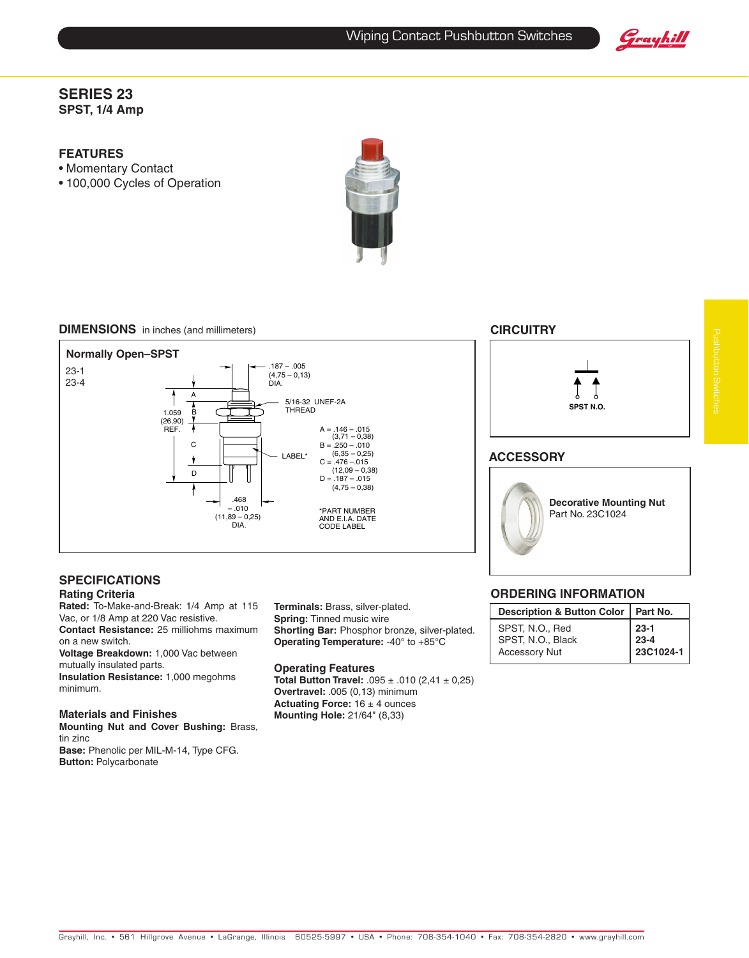Grayhill

## **SERIES 23 SPST, 1/4 Amp**

# **FEATURES**

- • Momentary Contact
- 100,000 Cycles of Operation



#### **DIMENSIONS** in inches (and millimeters) **CIRCUITRY**



# **SPECIFICATIONS**

#### **Rating Criteria**

**Rated:** To-Make-and-Break: 1/4 Amp at 115 Vac, or 1/8 Amp at 220 Vac resistive. **Contact Resistance:** 25 milliohms maximum on a new switch.

**Voltage Breakdown:** 1,000 Vac between mutually insulated parts. **Insulation Resistance:** 1,000 megohms

minimum.

#### **Materials and Finishes**

**Mounting Nut and Cover Bushing:** Brass, tin zinc **Base:** Phenolic per MIL-M-14, Type CFG. **Button:** Polycarbonate

**Terminals:** Brass, silver-plated. **Spring:** Tinned music wire **Shorting Bar:** Phosphor bronze, silver-plated. **Operating Temperature:** -40° to +85°C

#### **Operating Features**

**Total Button Travel:** .095 ± .010 (2,41 ± 0,25) **Overtravel:** .005 (0,13) minimum **Actuating Force:** 16 ± 4 ounces **Mounting Hole:** 21/64" (8,33)

### **Ordering Information**

| Description & Button Color   Part No. |           |
|---------------------------------------|-----------|
| SPST, N.O., Red                       | $ 23-1$   |
| SPST, N.O., Black                     | $ 23-4$   |
| <b>Accessory Nut</b>                  | 23C1024-1 |